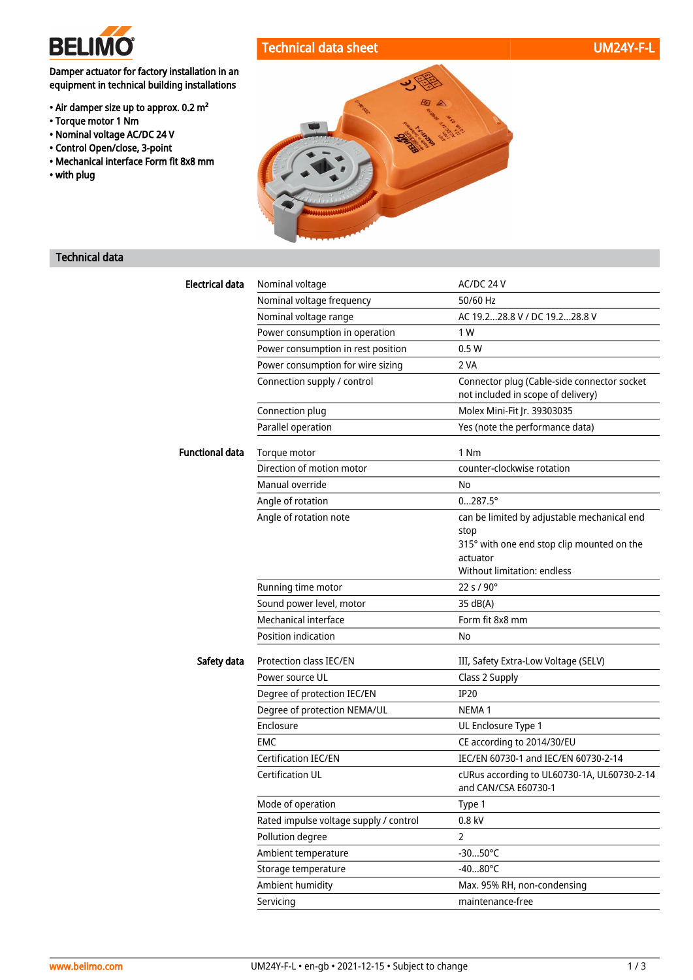

### Technical data sheet UM24Y-F-L

Damper actuator for factory installation in an equipment in technical building installations

- Air damper size up to approx. 0.2 m²
- Torque motor 1 Nm
- Nominal voltage AC/DC 24 V
- Control Open/close, 3-point
- Mechanical interface Form fit 8x8 mm
- with plug



### Technical data

| <b>Electrical data</b> | Nominal voltage                        | AC/DC 24 V                                                                        |
|------------------------|----------------------------------------|-----------------------------------------------------------------------------------|
|                        | Nominal voltage frequency              | 50/60 Hz                                                                          |
|                        | Nominal voltage range                  | AC 19.228.8 V / DC 19.228.8 V                                                     |
|                        | Power consumption in operation         | 1 W                                                                               |
|                        | Power consumption in rest position     | 0.5W                                                                              |
|                        | Power consumption for wire sizing      | 2 VA                                                                              |
|                        | Connection supply / control            | Connector plug (Cable-side connector socket<br>not included in scope of delivery) |
|                        | Connection plug                        | Molex Mini-Fit Jr. 39303035                                                       |
|                        | Parallel operation                     | Yes (note the performance data)                                                   |
| <b>Functional data</b> | Torque motor                           | 1 Nm                                                                              |
|                        | Direction of motion motor              | counter-clockwise rotation                                                        |
|                        | Manual override                        | No                                                                                |
|                        | Angle of rotation                      | $0287.5^{\circ}$                                                                  |
|                        | Angle of rotation note                 | can be limited by adjustable mechanical end                                       |
|                        |                                        | stop                                                                              |
|                        |                                        | 315° with one end stop clip mounted on the<br>actuator                            |
|                        |                                        | Without limitation: endless                                                       |
|                        | Running time motor                     | 22 s / 90°                                                                        |
|                        | Sound power level, motor               | 35 dB(A)                                                                          |
|                        | Mechanical interface                   | Form fit 8x8 mm                                                                   |
|                        | Position indication                    | No                                                                                |
| Safety data            | Protection class IEC/EN                | III, Safety Extra-Low Voltage (SELV)                                              |
|                        | Power source UL                        | Class 2 Supply                                                                    |
|                        | Degree of protection IEC/EN            | <b>IP20</b>                                                                       |
|                        | Degree of protection NEMA/UL           | NEMA <sub>1</sub>                                                                 |
|                        | Enclosure                              | UL Enclosure Type 1                                                               |
|                        | EMC                                    | CE according to 2014/30/EU                                                        |
|                        | <b>Certification IEC/EN</b>            | IEC/EN 60730-1 and IEC/EN 60730-2-14                                              |
|                        | Certification UL                       | cURus according to UL60730-1A, UL60730-2-14<br>and CAN/CSA E60730-1               |
|                        | Mode of operation                      | Type 1                                                                            |
|                        | Rated impulse voltage supply / control | 0.8 kV                                                                            |
|                        | Pollution degree                       | $\mathbf{2}$                                                                      |
|                        | Ambient temperature                    | $-3050^{\circ}$ C                                                                 |
|                        | Storage temperature                    | $-4080^{\circ}$ C                                                                 |
|                        | Ambient humidity                       | Max. 95% RH, non-condensing                                                       |
|                        | Servicing                              | maintenance-free                                                                  |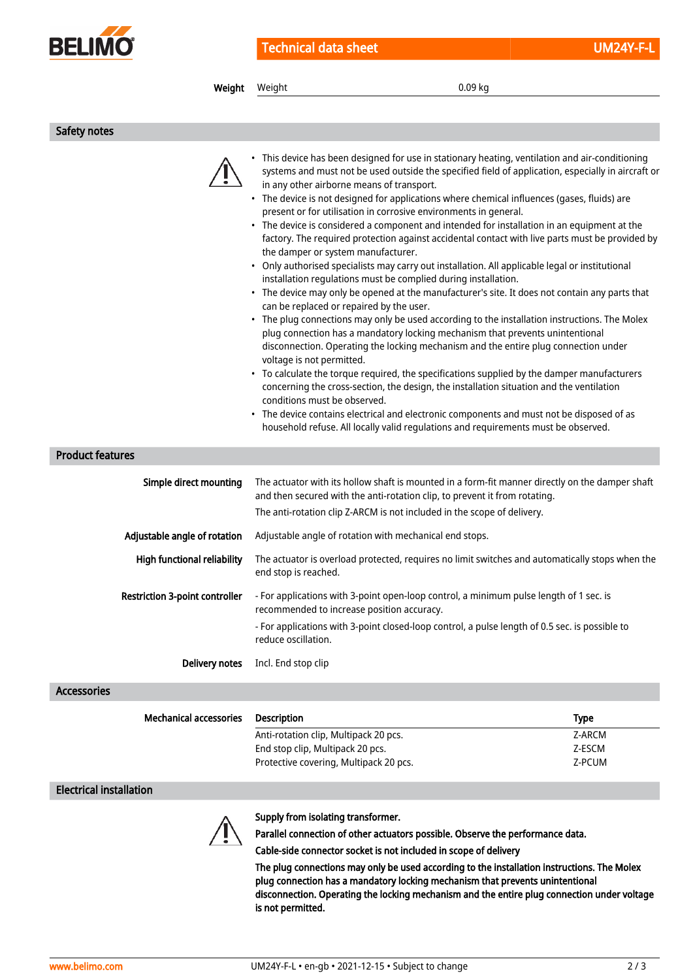

| Weight                                | 0.09 kg<br>Weight                                                                                                                                                                                                                                                                                                                                                                                                                                                                                                                                                                                                                                                                                                                                                                                                                                                                                                                                                                                                                                                                                                                                                                                                                                                                                                                                                                                                                                                                                                                                                                                                                                                                                  |             |
|---------------------------------------|----------------------------------------------------------------------------------------------------------------------------------------------------------------------------------------------------------------------------------------------------------------------------------------------------------------------------------------------------------------------------------------------------------------------------------------------------------------------------------------------------------------------------------------------------------------------------------------------------------------------------------------------------------------------------------------------------------------------------------------------------------------------------------------------------------------------------------------------------------------------------------------------------------------------------------------------------------------------------------------------------------------------------------------------------------------------------------------------------------------------------------------------------------------------------------------------------------------------------------------------------------------------------------------------------------------------------------------------------------------------------------------------------------------------------------------------------------------------------------------------------------------------------------------------------------------------------------------------------------------------------------------------------------------------------------------------------|-------------|
|                                       |                                                                                                                                                                                                                                                                                                                                                                                                                                                                                                                                                                                                                                                                                                                                                                                                                                                                                                                                                                                                                                                                                                                                                                                                                                                                                                                                                                                                                                                                                                                                                                                                                                                                                                    |             |
| Safety notes                          |                                                                                                                                                                                                                                                                                                                                                                                                                                                                                                                                                                                                                                                                                                                                                                                                                                                                                                                                                                                                                                                                                                                                                                                                                                                                                                                                                                                                                                                                                                                                                                                                                                                                                                    |             |
|                                       | • This device has been designed for use in stationary heating, ventilation and air-conditioning<br>systems and must not be used outside the specified field of application, especially in aircraft or<br>in any other airborne means of transport.<br>• The device is not designed for applications where chemical influences (gases, fluids) are<br>present or for utilisation in corrosive environments in general.<br>• The device is considered a component and intended for installation in an equipment at the<br>factory. The required protection against accidental contact with live parts must be provided by<br>the damper or system manufacturer.<br>• Only authorised specialists may carry out installation. All applicable legal or institutional<br>installation regulations must be complied during installation.<br>• The device may only be opened at the manufacturer's site. It does not contain any parts that<br>can be replaced or repaired by the user.<br>• The plug connections may only be used according to the installation instructions. The Molex<br>plug connection has a mandatory locking mechanism that prevents unintentional<br>disconnection. Operating the locking mechanism and the entire plug connection under<br>voltage is not permitted.<br>• To calculate the torque required, the specifications supplied by the damper manufacturers<br>concerning the cross-section, the design, the installation situation and the ventilation<br>conditions must be observed.<br>The device contains electrical and electronic components and must not be disposed of as<br>household refuse. All locally valid regulations and requirements must be observed. |             |
| <b>Product features</b>               |                                                                                                                                                                                                                                                                                                                                                                                                                                                                                                                                                                                                                                                                                                                                                                                                                                                                                                                                                                                                                                                                                                                                                                                                                                                                                                                                                                                                                                                                                                                                                                                                                                                                                                    |             |
| Simple direct mounting                | The actuator with its hollow shaft is mounted in a form-fit manner directly on the damper shaft<br>and then secured with the anti-rotation clip, to prevent it from rotating.<br>The anti-rotation clip Z-ARCM is not included in the scope of delivery.                                                                                                                                                                                                                                                                                                                                                                                                                                                                                                                                                                                                                                                                                                                                                                                                                                                                                                                                                                                                                                                                                                                                                                                                                                                                                                                                                                                                                                           |             |
| Adjustable angle of rotation          | Adjustable angle of rotation with mechanical end stops.                                                                                                                                                                                                                                                                                                                                                                                                                                                                                                                                                                                                                                                                                                                                                                                                                                                                                                                                                                                                                                                                                                                                                                                                                                                                                                                                                                                                                                                                                                                                                                                                                                            |             |
| <b>High functional reliability</b>    | The actuator is overload protected, requires no limit switches and automatically stops when the<br>end stop is reached.                                                                                                                                                                                                                                                                                                                                                                                                                                                                                                                                                                                                                                                                                                                                                                                                                                                                                                                                                                                                                                                                                                                                                                                                                                                                                                                                                                                                                                                                                                                                                                            |             |
| <b>Restriction 3-point controller</b> | - For applications with 3-point open-loop control, a minimum pulse length of 1 sec. is<br>recommended to increase position accuracy.                                                                                                                                                                                                                                                                                                                                                                                                                                                                                                                                                                                                                                                                                                                                                                                                                                                                                                                                                                                                                                                                                                                                                                                                                                                                                                                                                                                                                                                                                                                                                               |             |
|                                       | - For applications with 3-point closed-loop control, a pulse length of 0.5 sec. is possible to<br>reduce oscillation.                                                                                                                                                                                                                                                                                                                                                                                                                                                                                                                                                                                                                                                                                                                                                                                                                                                                                                                                                                                                                                                                                                                                                                                                                                                                                                                                                                                                                                                                                                                                                                              |             |
| Delivery notes                        | Incl. End stop clip                                                                                                                                                                                                                                                                                                                                                                                                                                                                                                                                                                                                                                                                                                                                                                                                                                                                                                                                                                                                                                                                                                                                                                                                                                                                                                                                                                                                                                                                                                                                                                                                                                                                                |             |
| <b>Accessories</b>                    |                                                                                                                                                                                                                                                                                                                                                                                                                                                                                                                                                                                                                                                                                                                                                                                                                                                                                                                                                                                                                                                                                                                                                                                                                                                                                                                                                                                                                                                                                                                                                                                                                                                                                                    |             |
| <b>Mechanical accessories</b>         | <b>Description</b>                                                                                                                                                                                                                                                                                                                                                                                                                                                                                                                                                                                                                                                                                                                                                                                                                                                                                                                                                                                                                                                                                                                                                                                                                                                                                                                                                                                                                                                                                                                                                                                                                                                                                 | <b>Type</b> |
|                                       | Anti-rotation clip, Multipack 20 pcs.                                                                                                                                                                                                                                                                                                                                                                                                                                                                                                                                                                                                                                                                                                                                                                                                                                                                                                                                                                                                                                                                                                                                                                                                                                                                                                                                                                                                                                                                                                                                                                                                                                                              | Z-ARCM      |
|                                       | End stop clip, Multipack 20 pcs.                                                                                                                                                                                                                                                                                                                                                                                                                                                                                                                                                                                                                                                                                                                                                                                                                                                                                                                                                                                                                                                                                                                                                                                                                                                                                                                                                                                                                                                                                                                                                                                                                                                                   | Z-ESCM      |
|                                       | Protective covering, Multipack 20 pcs.                                                                                                                                                                                                                                                                                                                                                                                                                                                                                                                                                                                                                                                                                                                                                                                                                                                                                                                                                                                                                                                                                                                                                                                                                                                                                                                                                                                                                                                                                                                                                                                                                                                             | Z-PCUM      |

#### Electrical installation



Supply from isolating transformer.

Parallel connection of other actuators possible. Observe the performance data.

Cable-side connector socket is not included in scope of delivery

The plug connections may only be used according to the installation instructions. The Molex plug connection has a mandatory locking mechanism that prevents unintentional disconnection. Operating the locking mechanism and the entire plug connection under voltage is not permitted.